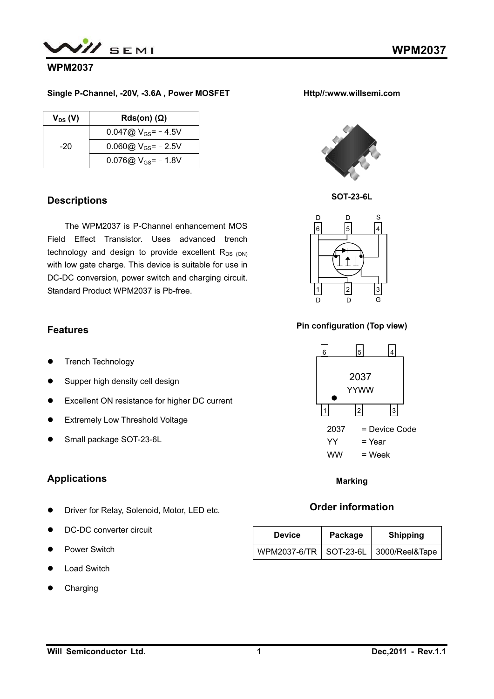

## **WPM2037**

#### **Single P-Channel, -20V, -3.6A , Power MOSFET**

| $V_{DS} (V)$ | $Rds(on)$ ( $\Omega$ )   |
|--------------|--------------------------|
|              | $0.047@V_{GS} = -4.5V$   |
| -20          | $0.060@V_{GS}$ = - 2.5V  |
|              | 0.076@ $V_{GS}$ = - 1.8V |

### **Descriptions**

The WPM2037 is P-Channel enhancement MOS Field Effect Transistor. Uses advanced trench technology and design to provide excellent  $R_{DS (ON)}$ with low gate charge. This device is suitable for use in DC-DC conversion, power switch and charging circuit. Standard Product WPM2037 is Pb-free.

## **Features**

- **•** Trench Technology
- Supper high density cell design
- Excellent ON resistance for higher DC current
- **•** Extremely Low Threshold Voltage
- Small package SOT-23-6L

## **Applications**

- **•** Driver for Relay, Solenoid, Motor, LED etc.
- DC-DC converter circuit
- Power Switch
- Load Switch
- Charging





**SOT-23-6L** 



#### **Pin configuration (Top view)**



**Marking**

## **Order information**

| <b>Device</b> | Package | <b>Shipping</b>                           |  |
|---------------|---------|-------------------------------------------|--|
|               |         | WPM2037-6/TR   SOT-23-6L   3000/Reel&Tape |  |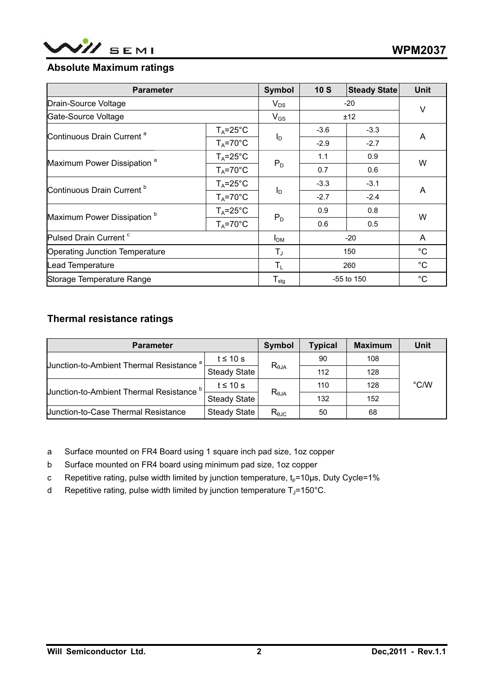

# **Absolute Maximum ratings**

| <b>Parameter</b>                       |                     | Symbol                     | 10S    | <b>Steady State</b> | <b>Unit</b> |
|----------------------------------------|---------------------|----------------------------|--------|---------------------|-------------|
| Drain-Source Voltage                   |                     | $V_{DS}$                   | $-20$  |                     | V           |
| Gate-Source Voltage                    |                     | $V_{GS}$                   | ±12    |                     |             |
|                                        | $T_A = 25^{\circ}C$ |                            | $-3.6$ | $-3.3$              |             |
| Continuous Drain Current <sup>a</sup>  | $T_A = 70^\circ C$  | $I_D$                      | $-2.9$ | $-2.7$              | A           |
|                                        | $T_A = 25^{\circ}C$ |                            | 1.1    | 0.9                 | W           |
| Maximum Power Dissipation <sup>a</sup> | $T_A = 70^\circ C$  | $P_D$                      | 0.7    | 0.6                 |             |
| Continuous Drain Current <sup>b</sup>  | $T_A = 25$ °C       | $I_D$                      | $-3.3$ | $-3.1$              | A           |
|                                        | $T_A = 70^\circ C$  |                            | $-2.7$ | $-2.4$              |             |
| Maximum Power Dissipation <sup>b</sup> | $T_A = 25^{\circ}C$ | $P_D$                      | 0.9    | 0.8                 | W           |
|                                        | $T_A = 70^\circ C$  |                            | 0.6    | 0.5                 |             |
| Pulsed Drain Current <sup>c</sup>      |                     | I <sub>DM</sub>            | $-20$  |                     | A           |
| Operating Junction Temperature         |                     | $T_{\text{J}}$             | 150    |                     | $^{\circ}C$ |
| Lead Temperature                       |                     | $T_L$                      | 260    |                     | $^{\circ}C$ |
| Storage Temperature Range              |                     | ${\mathsf T}_{\text{stg}}$ |        | -55 to 150          | $^{\circ}C$ |

# **Thermal resistance ratings**

| <b>Parameter</b>                                    | Symbol              | <b>Typical</b>  | <b>Maximum</b> | <b>Unit</b> |               |
|-----------------------------------------------------|---------------------|-----------------|----------------|-------------|---------------|
| Junction-to-Ambient Thermal Resistance <sup>a</sup> | t $\leq 10$ s       | $R_{\theta JA}$ | 90             | 108         |               |
|                                                     | <b>Steady State</b> |                 | 112            | 128         |               |
|                                                     | t $\leq 10$ s       | $R_{\theta JA}$ | 110            | 128         | $\degree$ C/W |
| <b>Junction-to-Ambient Thermal Resistance</b>       | <b>Steady State</b> |                 | 132            | 152         |               |
| <b>Junction-to-Case Thermal Resistance</b>          | <b>Steady State</b> | $R_{\theta$ JC  | 50             | 68          |               |

a Surface mounted on FR4 Board using 1 square inch pad size, 1oz copper

- b Surface mounted on FR4 board using minimum pad size, 1oz copper
- c Repetitive rating, pulse width limited by junction temperature,  $t_p=10\mu s$ , Duty Cycle=1%
- d Repetitive rating, pulse width limited by junction temperature  $T_J$ =150°C.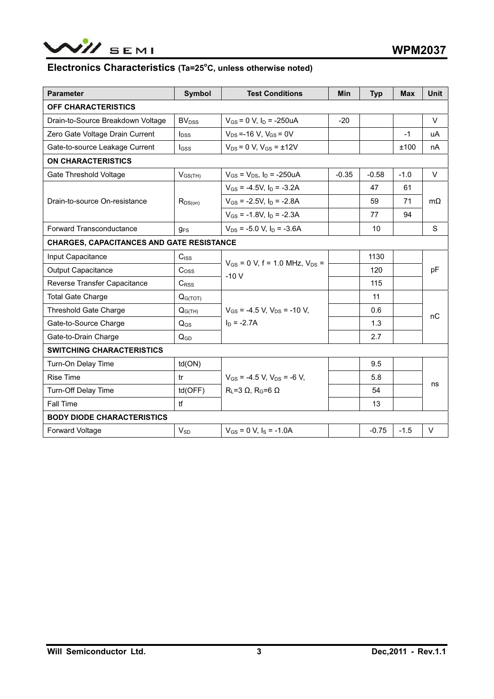

### Electronics Characteristics (Ta=25°C, unless otherwise noted)

| <b>Parameter</b>                                 | <b>Symbol</b>            | <b>Test Conditions</b>                    | <b>Min</b> | <b>Typ</b> | <b>Max</b> | <b>Unit</b> |  |
|--------------------------------------------------|--------------------------|-------------------------------------------|------------|------------|------------|-------------|--|
| OFF CHARACTERISTICS                              |                          |                                           |            |            |            |             |  |
| Drain-to-Source Breakdown Voltage                | <b>BV</b> <sub>DSS</sub> | $V_{GS}$ = 0 V, $I_D$ = -250uA            | $-20$      |            |            | V           |  |
| Zero Gate Voltage Drain Current                  | $I_{DSS}$                | $V_{DS}$ =-16 V, $V_{GS}$ = 0V            |            |            | $-1$       | uA          |  |
| Gate-to-source Leakage Current                   | <b>I</b> GSS             | $V_{DS} = 0 V$ , $V_{GS} = \pm 12V$       |            |            | ±100       | nA          |  |
| <b>ON CHARACTERISTICS</b>                        |                          |                                           |            |            |            |             |  |
| Gate Threshold Voltage                           | $V_{GS(TH)}$             | $V_{GS} = V_{DS}$ , $I_D = -250uA$        | $-0.35$    | $-0.58$    | $-1.0$     | $\vee$      |  |
|                                                  |                          | $V_{GS}$ = -4.5V, $I_D$ = -3.2A           |            | 47         | 61         |             |  |
| Drain-to-source On-resistance                    | $R_{DS(on)}$             | $V_{GS}$ = -2.5V, $I_D$ = -2.8A           |            | 59         | 71         | $m\Omega$   |  |
|                                                  |                          | $V_{GS}$ = -1.8V, $I_D$ = -2.3A           |            | 77         | 94         |             |  |
| <b>Forward Transconductance</b>                  | $g_{FS}$                 | $V_{DS}$ = -5.0 V, $I_D$ = -3.6A          |            | 10         |            | S           |  |
| <b>CHARGES, CAPACITANCES AND GATE RESISTANCE</b> |                          |                                           |            |            |            |             |  |
| Input Capacitance                                | $C_{ISS}$                |                                           |            | 1130       |            | pF          |  |
| <b>Output Capacitance</b>                        | C <sub>oss</sub>         | $V_{GS} = 0$ V, f = 1.0 MHz, $V_{DS} =$   |            | 120        |            |             |  |
| Reverse Transfer Capacitance                     | $C_{RSS}$                | $-10V$                                    |            | 115        |            |             |  |
| <b>Total Gate Charge</b>                         | $Q_{G(TOT)}$             |                                           |            | 11         |            |             |  |
| <b>Threshold Gate Charge</b>                     | $Q_{G(TH)}$              | $V_{GS}$ = -4.5 V. $V_{DS}$ = -10 V.      |            | 0.6        |            | nC          |  |
| Gate-to-Source Charge                            | $Q_{GS}$                 | $I_D$ = -2.7A                             |            | 1.3        |            |             |  |
| Gate-to-Drain Charge                             | $Q_{GD}$                 |                                           |            | 2.7        |            |             |  |
| <b>SWITCHING CHARACTERISTICS</b>                 |                          |                                           |            |            |            |             |  |
| Turn-On Delay Time                               | td(ON)                   |                                           |            | 9.5        |            |             |  |
| <b>Rise Time</b>                                 | tr                       | $V_{GS}$ = -4.5 V, $V_{DS}$ = -6 V,       |            | 5.8        |            | ns          |  |
| <b>Turn-Off Delay Time</b>                       | td(OFF)                  | $R_{L}$ =3 $\Omega$ , $R_{G}$ =6 $\Omega$ |            | 54         |            |             |  |
| Fall Time                                        | tf                       |                                           |            | 13         |            |             |  |
| <b>BODY DIODE CHARACTERISTICS</b>                |                          |                                           |            |            |            |             |  |
| <b>Forward Voltage</b>                           | $V_{SD}$                 | $V_{GS}$ = 0 V, $I_S$ = -1.0A             |            | $-0.75$    | $-1.5$     | $\vee$      |  |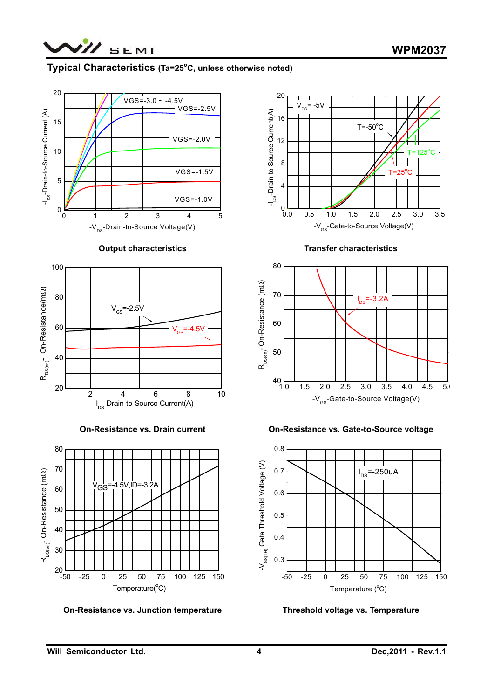

## Typical Characteristics (Ta=25°C, unless otherwise noted)



#### **Output characteristics**



**On-Resistance vs. Drain current** 



**On-Resistance vs. Junction temperature** 



**Transfer characteristics** 



**On-Resistance vs. Gate-to-Source voltage** 



**Threshold voltage vs. Temperature**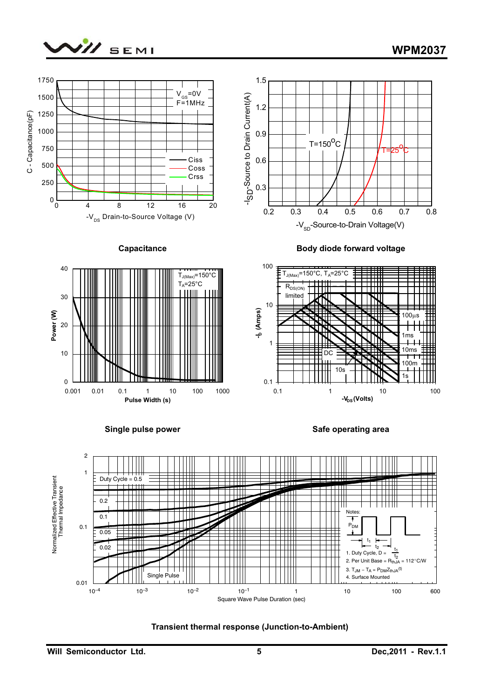







**Safe operating area** 

D<sub>C</sub>

╈╈╫

10s

0.1 1 10 100 -V<sub>DS</sub> (Volts)



0.1

1



0

10

10ms 1ms

┯

100m 1s